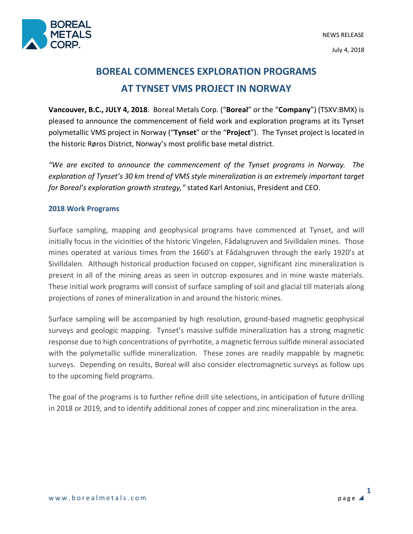

# **BOREAL COMMENCES EXPLORATION PROGRAMS AT TYNSET VMS PROJECT IN NORWAY**

**Vancouver, B.C., JULY 4, 2018**. Boreal Metals Corp. ("**Boreal**" or the "**Company**") (TSXV:BMX) is pleased to announce the commencement of field work and exploration programs at its Tynset polymetallic VMS project in Norway ("**Tynset**" or the "**Project**"). The Tynset project is located in the historic Røros District, Norway's most prolific base metal district.

*"We are excited to announce the commencement of the Tynset programs in Norway. The exploration of Tynset's 30 km trend of VMS style mineralization is an extremely important target for Boreal's exploration growth strategy,"* stated Karl Antonius, President and CEO.

## **2018 Work Programs**

Surface sampling, mapping and geophysical programs have commenced at Tynset, and will initially focus in the vicinities of the historic Vingelen, Fådalsgruven and Sivilldalen mines. Those mines operated at various times from the 1660's at Fådalsgruven through the early 1920's at Sivilldalen. Although historical production focused on copper, significant zinc mineralization is present in all of the mining areas as seen in outcrop exposures and in mine waste materials. These initial work programs will consist of surface sampling of soil and glacial till materials along projections of zones of mineralization in and around the historic mines.

Surface sampling will be accompanied by high resolution, ground-based magnetic geophysical surveys and geologic mapping. Tynset's massive sulfide mineralization has a strong magnetic response due to high concentrations of pyrrhotite, a magnetic ferrous sulfide mineral associated with the polymetallic sulfide mineralization. These zones are readily mappable by magnetic surveys. Depending on results, Boreal will also consider electromagnetic surveys as follow ups to the upcoming field programs.

The goal of the programs is to further refine drill site selections, in anticipation of future drilling in 2018 or 2019, and to identify additional zones of copper and zinc mineralization in the area.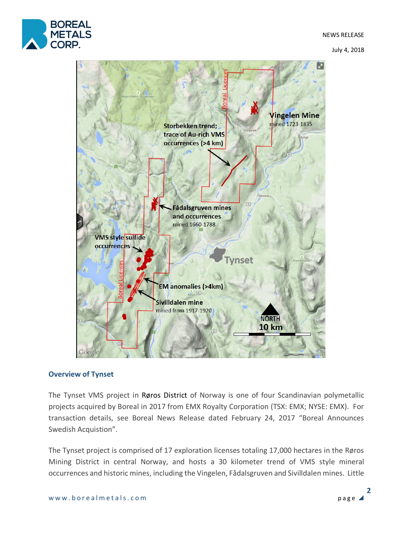

July 4, 2018



## **Overview of Tynset**

The Tynset VMS project in Røros District of Norway is one of four Scandinavian polymetallic projects acquired by Boreal in 2017 from EMX Royalty Corporation (TSX: EMX; NYSE: EMX). For transaction details, see Boreal News Release dated February 24, 2017 "Boreal Announces Swedish Acquistion".

The Tynset project is comprised of 17 exploration licenses totaling 17,000 hectares in the Røros Mining District in central Norway, and hosts a 30 kilometer trend of VMS style mineral occurrences and historic mines, including the Vingelen, Fådalsgruven and Sivilldalen mines. Little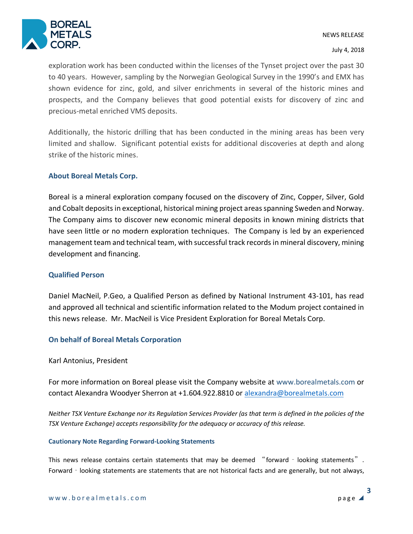

July 4, 2018

exploration work has been conducted within the licenses of the Tynset project over the past 30 to 40 years. However, sampling by the Norwegian Geological Survey in the 1990's and EMX has shown evidence for zinc, gold, and silver enrichments in several of the historic mines and prospects, and the Company believes that good potential exists for discovery of zinc and precious-metal enriched VMS deposits.

Additionally, the historic drilling that has been conducted in the mining areas has been very limited and shallow. Significant potential exists for additional discoveries at depth and along strike of the historic mines.

## **About Boreal Metals Corp.**

Boreal is a mineral exploration company focused on the discovery of Zinc, Copper, Silver, Gold and Cobalt deposits in exceptional, historical mining project areas spanning Sweden and Norway. The Company aims to discover new economic mineral deposits in known mining districts that have seen little or no modern exploration techniques. The Company is led by an experienced management team and technical team, with successful track records in mineral discovery, mining development and financing.

### **Qualified Person**

Daniel MacNeil, P.Geo, a Qualified Person as defined by National Instrument 43-101, has read and approved all technical and scientific information related to the Modum project contained in this news release. Mr. MacNeil is Vice President Exploration for Boreal Metals Corp.

## **On behalf of Boreal Metals Corporation**

### Karl Antonius, President

For more information on Boreal please visit the Company website at www.borealmetals.com or contact Alexandra Woodyer Sherron at +1.604.922.8810 or alexandra@borealmetals.com

*Neither TSX Venture Exchange nor its Regulation Services Provider (as that term is defined in the policies of the TSX Venture Exchange) accepts responsibility for the adequacy or accuracy of this release.* 

#### **Cautionary Note Regarding Forward-Looking Statements**

This news release contains certain statements that may be deemed "forward - looking statements". Forward - looking statements are statements that are not historical facts and are generally, but not always,